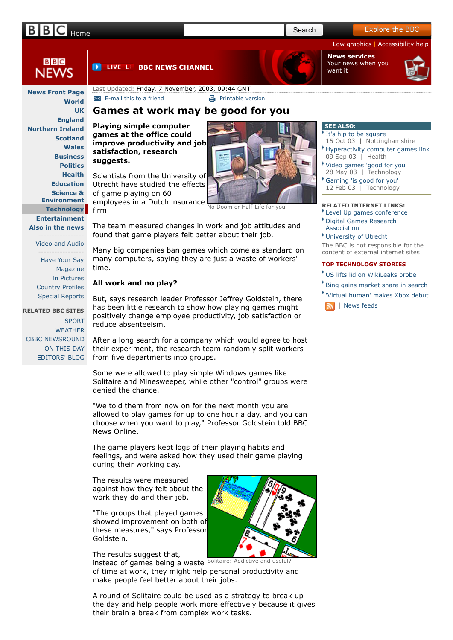# Home **[Explore the BBC](http://www.bbc.co.uk/go/toolbar/-/a-z/)** Search Explore the BBC

[Low graphics](http://news.bbc.co.uk/text_only.stm) **|** [Accessibility help](http://www.bbc.co.uk/accessibility/)

**News services** [Your news when you](http://news.bbc.co.uk/go/news/int/banner/story/services/-/1/hi/help/products_and_services/default.stm) want it



# <span id="page-0-0"></span>**BBC NFWS**

### **[News Front Page](http://news.bbc.co.uk/1/hi/default.stm) [World](http://news.bbc.co.uk/1/hi/world/default.stm) [UK](http://news.bbc.co.uk/1/hi/uk/default.stm) [England](http://news.bbc.co.uk/1/hi/england/default.stm) [Northern Ireland](http://news.bbc.co.uk/1/hi/northern_ireland/default.stm) [Scotland](http://news.bbc.co.uk/1/hi/scotland/default.stm) [Wales](http://news.bbc.co.uk/1/hi/wales/default.stm) [Business](http://news.bbc.co.uk/1/hi/business/default.stm) [Politics](http://news.bbc.co.uk/1/hi/uk_politics/default.stm) [Health](http://news.bbc.co.uk/1/hi/health/default.stm) [Education](http://news.bbc.co.uk/1/hi/education/default.stm) Science & [Environment](http://news.bbc.co.uk/1/hi/sci/tech/default.stm) [Technology](http://news.bbc.co.uk/1/hi/technology/default.stm)** firm. **[Entertainment](http://news.bbc.co.uk/1/hi/entertainment/default.stm) [Also in the news](http://news.bbc.co.uk/1/hi/also_in_the_news/default.stm)**

-----------------

[Video and Audio](http://news.bbc.co.uk/1/hi/video_and_audio/default.stm)

----------------- [Have Your Say](http://news.bbc.co.uk/1/hi/talking_point/default.stm) [Magazine](http://news.bbc.co.uk/1/hi/magazine/default.stm) [In Pictures](http://news.bbc.co.uk/1/hi/in_pictures/default.stm) [Country Profiles](http://news.bbc.co.uk/1/hi/country_profiles/default.stm) [Special Reports](http://news.bbc.co.uk/1/hi/in_depth/default.stm)

**RELATED BBC SITES [SPORT](http://news.bbc.co.uk/sport1/hi/default.stm)** [WEATHER](http://www.bbc.co.uk/weather/d/) [CBBC NEWSROUND](http://news.bbc.co.uk/cbbcnews/default.stm) [ON THIS DAY](http://www.bbc.co.uk/onthisday) [EDITORS' BLOG](http://www.bbc.co.uk/blogs/theeditors/)

## **[BBC NEWS CHANNEL](http://www.bbc.co.uk/mediaselector/check/player/nol/newsid_7350000/newsid_7352600?redirect=7352691.stm&news=1&nbram=1&bbram=1&nbwm=1&bbwm=1&asb=1)**

Last Updated: Friday, 7 November, 2003, 09:44 GMT **[E-mail this to a friend](http://newsvote.bbc.co.uk/mpapps/pagetools/email/news.bbc.co.uk/1/hi/technology/3247595.stm) [Printable version](http://newsvote.bbc.co.uk/mpapps/pagetools/print/news.bbc.co.uk/1/hi/technology/3247595.stm)** 

# **Games at work may be good for you**

**Playing simple computer games at the office could improve productivity and job satisfaction, research suggests.**

Scientists from the University of Utrecht have studied the effects of game playing on 60

No Doom or Half-Life for you employees in a Dutch insurance

The team measured changes in work and job attitudes and found that game players felt better about their job.

Many big companies ban games which come as standard on many computers, saying they are just a waste of workers' time.

## **All work and no play?**

But, says research leader Professor Jeffrey Goldstein, there has been little research to show how playing games might positively change employee productivity, job satisfaction or reduce absenteeism.

After a long search for a company which would agree to host their experiment, the research team randomly split workers from five departments into groups.

Some were allowed to play simple Windows games like Solitaire and Minesweeper, while other "control" groups were denied the chance.

"We told them from now on for the next month you are allowed to play games for up to one hour a day, and you can choose when you want to play," Professor Goldstein told BBC News Online.

The game players kept logs of their playing habits and feelings, and were asked how they used their game playing during their working day.

The results were measured against how they felt about the work they do and their job.

"The groups that played games showed improvement on both of these measures," says Professor Goldstein.

The results suggest that,

instead of games being a waste Solitaire: Addictive and useful? of time at work, they might help personal productivity and make people feel better about their jobs.

A round of Solitaire could be used as a strategy to break up the day and help people work more effectively because it gives their brain a break from complex work tasks.

## **SEE ALSO:**

- [It's hip to be square](http://news.bbc.co.uk/1/hi/england/nottinghamshire/3194606.stm)  15 Oct 03 | Nottinghamshire
- [Hyperactivity computer games link](http://news.bbc.co.uk/1/hi/health/3092902.stm) 09 Sep 03 | Health
- [Video games 'good for you'](http://news.bbc.co.uk/1/hi/technology/2943280.stm)  28 May 03 | Technology
- [Gaming 'is good for you'](http://news.bbc.co.uk/1/hi/technology/2744449.stm)  12 Feb 03 | Technology

### **RELATED INTERNET LINKS:**

- [Level Up games conference](http://www.gamesconference.org/2003/index.php) [Digital Games Research](http://www.digra.org/)
- Association
- [University of Utrecht](http://www.uu.nl/uupublish/homeuu/homeenglish/1757main.html)

The BBC is not responsible for the content of external internet sites

## **[TOP TECHNOLOGY STORIES](http://news.bbc.co.uk/1/hi/technology/default.stm)**

- [US lifts lid on WikiLeaks probe](http://news.bbc.co.uk/news/10596057)
- [Bing gains market share in search](http://news.bbc.co.uk/news/10628973)
- ['Virtual human' makes Xbox debut](http://news.bbc.co.uk/news/10623423)
	- | [News feeds](http://news.bbc.co.uk/1/hi/help/3223484.stm?rss=/rss/newsonline_uk_edition/technology/rss.xml)